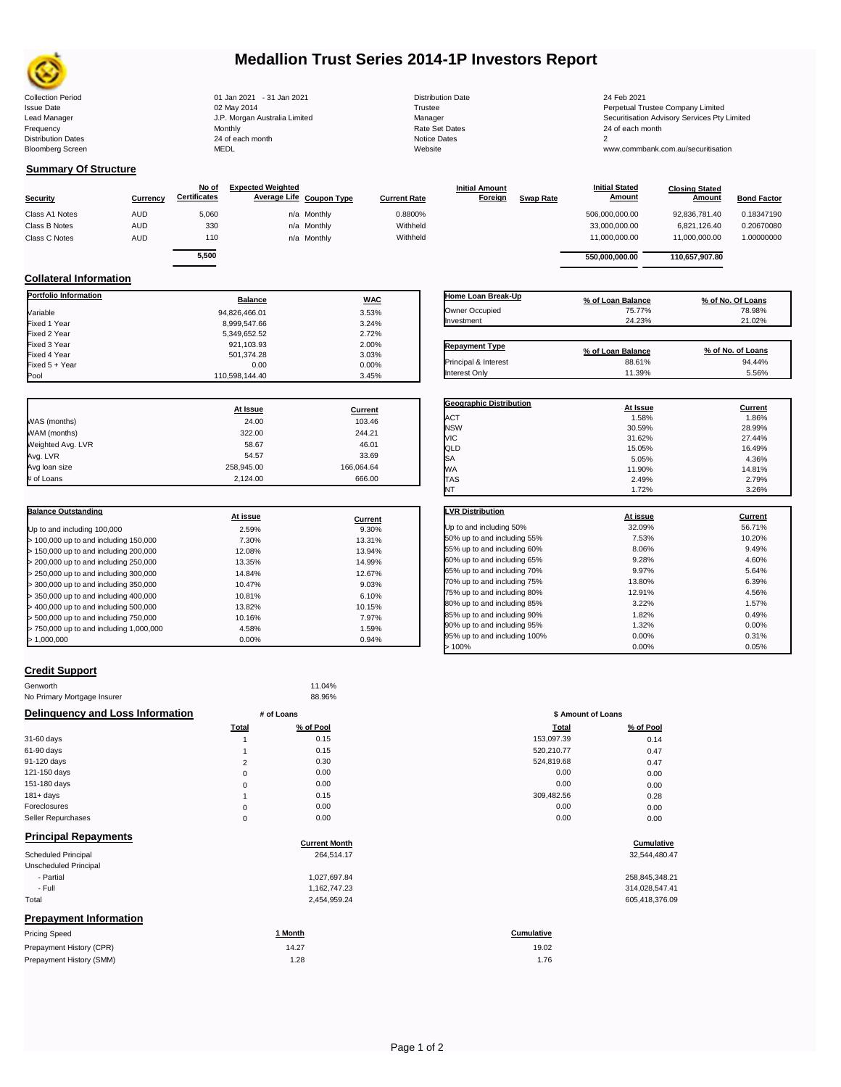

# **Medallion Trust Series 2014-1P Investors Report**

| <b>Collection Period</b>  | 01 Jan 2021 - 31 Jan 2021     | <b>Distribution Date</b> | 24 Feb 2021    |
|---------------------------|-------------------------------|--------------------------|----------------|
| <b>Issue Date</b>         | 02 May 2014                   | Trustee                  | Perpetual Tru  |
| Lead Manager              | J.P. Morgan Australia Limited | Manager                  | Securitisation |
| Frequency                 | Monthly                       | Rate Set Dates           | 24 of each m   |
| <b>Distribution Dates</b> | 24 of each month              | Notice Dates             |                |
| <b>Bloomberg Screen</b>   | MEDL                          | Website                  | www.commb      |
|                           |                               |                          |                |

Frequency Monthly Rate Set Dates 24 of each month Distribution Dates 24 of each month Notice Dates 2 Bloomberg Screen MEDL Website www.commbank.com.au/securitisation

**Investment** 

Issue Date Manager Manager (In the Ompany Limited Trustee Company Limited Date of Manager Securitisation Advisory Services Pty Limited Lead Manager Securitisation Advisory Services Pty Limited Lead Manager Securitisation A

## **Summary Of Structure**

| <b>Security</b> | Currency   | No of<br><b>Certificates</b> | <b>Expected Weighted</b><br>Average Life Coupon Type | <b>Current Rate</b> | <b>Initial Amount</b><br>Foreign | <b>Swap Rate</b> | <b>Initial Stated</b><br><b>Amount</b> | <b>Closing Stated</b><br>Amount | <b>Bond Factor</b> |
|-----------------|------------|------------------------------|------------------------------------------------------|---------------------|----------------------------------|------------------|----------------------------------------|---------------------------------|--------------------|
| Class A1 Notes  | <b>AUD</b> | 5,060                        | n/a Monthly                                          | 0.8800%             |                                  |                  | 506,000,000.00                         | 92.836.781.40                   | 0.18347190         |
| Class B Notes   | <b>AUD</b> | 330                          | n/a Monthly                                          | Withheld            |                                  |                  | 33,000,000.00                          | 6.821.126.40                    | 0.20670080         |
| Class C Notes   | <b>AUD</b> | 110                          | n/a Monthly                                          | Withheld            |                                  |                  | 11.000.000.00                          | 11,000,000.00                   | 1.00000000         |
|                 |            | 5,500                        |                                                      |                     |                                  |                  | 550.000.000.00                         | 110.657.907.80                  |                    |

### **Collateral Information**

| Portfolio Information | <b>Balance</b> | <b>WAC</b>               |
|-----------------------|----------------|--------------------------|
| Variable              | 94,826,466.01  | 3.53%                    |
| Fixed 1 Year          | 8,999,547.66   | 3.24%                    |
| Fixed 2 Year          | 5,349,652.52   | 2.72%                    |
| Fixed 3 Year          | 921,103.93     | 2.00%                    |
| Fixed 4 Year          | 501,374.28     | 3.03%                    |
| Fixed 5 + Year        | 0.00           | 0.00%                    |
|                       | 110,598,144.40 | 3.45%                    |
| Pool                  |                |                          |
|                       | At Issue       |                          |
| WAS (months)          | 24.00          | <b>Current</b><br>103.46 |
| WAM (months)          | 322.00         | 244.21                   |
| Weighted Avg. LVR     | 58.67          | 46.01                    |
| Avg. LVR              | 54.57          | 33.69                    |
| Avg loan size         | 258,945.00     | 166,064.64               |

| <b>Balance Outstanding</b>              |          |         |
|-----------------------------------------|----------|---------|
|                                         | At issue | Current |
| Up to and including 100,000             | 2.59%    | 9.30%   |
| $>$ 100,000 up to and including 150,000 | 7.30%    | 13.31%  |
| $>$ 150,000 up to and including 200,000 | 12.08%   | 13.94%  |
| > 200,000 up to and including 250,000   | 13.35%   | 14.99%  |
| > 250,000 up to and including 300,000   | 14.84%   | 12.67%  |
| > 300,000 up to and including 350,000   | 10.47%   | 9.03%   |
| > 350,000 up to and including 400,000   | 10.81%   | 6.10%   |
| > 400,000 up to and including 500,000   | 13.82%   | 10.15%  |
| > 500,000 up to and including 750,000   | 10.16%   | 7.97%   |
| > 750,000 up to and including 1,000,000 | 4.58%    | 1.59%   |
| >1.000.000                              | 0.00%    | 0.94%   |

| <b>Repayment Type</b>          | % of Loan Balance | % of No. of Loans |
|--------------------------------|-------------------|-------------------|
| Principal & Interest           | 88.61%            | 94.44%            |
| <b>Interest Only</b>           | 11.39%            | 5.56%             |
| <b>Geographic Distribution</b> | At Issue          | <b>Current</b>    |
|                                |                   |                   |
|                                |                   |                   |
| <b>ACT</b>                     | 1.58%             | 1.86%             |
| <b>NSW</b>                     | 30.59%            | 28.99%            |
|                                | 31.62%            | 27.44%            |
| <b>VIC</b><br>QLD<br>sа        | 15.05%            | 16.49%            |

**Home Loan Break-Up % of Loan Balance % of No. Of Loans** owner Occupied 1988% 1989% 75.77% 78.98% 78.98% 78.98% 78.98% 78.98% 78.98% 78.98% 78.98% 78.98% 78.98% 78.98<br>24.23% 71.02% 78.98% 78.98% 78.98% 78.98% 78.98% 78.98% 78.98% 79.98% 79.98% 79.98% 79.98% 79.98% 79.98% 79.98

WA 11.90% 14.81% TAS 2.49% 2.79% NT  $1.72\%$  3.26%

| <b>LVR Distribution</b>      | At issue | Current |
|------------------------------|----------|---------|
| Up to and including 50%      | 32.09%   | 56.71%  |
| 50% up to and including 55%  | 7.53%    | 10.20%  |
| 55% up to and including 60%  | 8.06%    | 9.49%   |
| 60% up to and including 65%  | 9.28%    | 4.60%   |
| 65% up to and including 70%  | 9.97%    | 5.64%   |
| 70% up to and including 75%  | 13.80%   | 6.39%   |
| 75% up to and including 80%  | 12.91%   | 4.56%   |
| 80% up to and including 85%  | 3.22%    | 1.57%   |
| 85% up to and including 90%  | 1.82%    | 0.49%   |
| 90% up to and including 95%  | 1.32%    | 0.00%   |
| 95% up to and including 100% | 0.00%    | 0.31%   |
| >100%                        | 0.00%    | 0.05%   |

#### **Credit Support**

| Genworth                         |                | 11.04%               |                    |                |
|----------------------------------|----------------|----------------------|--------------------|----------------|
| No Primary Mortgage Insurer      |                | 88.96%               |                    |                |
| Delinquency and Loss Information |                | # of Loans           | \$ Amount of Loans |                |
|                                  | Total          | % of Pool            | Total              | % of Pool      |
| 31-60 days                       |                | 0.15                 | 153,097.39         | 0.14           |
| 61-90 days                       |                | 0.15                 | 520.210.77         | 0.47           |
| 91-120 days                      | $\overline{2}$ | 0.30                 | 524,819.68         | 0.47           |
| 121-150 days                     | 0              | 0.00                 | 0.00               | 0.00           |
| 151-180 days                     | 0              | 0.00                 | 0.00               | 0.00           |
| $181 + days$                     |                | 0.15                 | 309,482.56         | 0.28           |
| Foreclosures                     | 0              | 0.00                 | 0.00               | 0.00           |
| Seller Repurchases               | 0              | 0.00                 | 0.00               | 0.00           |
| <b>Principal Repayments</b>      |                |                      |                    |                |
|                                  |                | <b>Current Month</b> |                    | Cumulative     |
| Scheduled Principal              |                | 264,514.17           |                    | 32,544,480.47  |
| Unscheduled Principal            |                |                      |                    |                |
| - Partial                        |                | 1.027.697.84         |                    | 258,845,348.21 |
| - Full                           |                | 1,162,747.23         |                    | 314,028,547.41 |
| Total                            |                | 2,454,959.24         |                    | 605,418,376.09 |
| <b>Prepayment Information</b>    |                |                      |                    |                |
| <b>Pricing Speed</b>             |                | 1 Month              | Cumulative         |                |
| Prepayment History (CPR)         |                | 14.27                | 19.02              |                |
| Prepayment History (SMM)         |                | 1.28                 | 1.76               |                |

|                      | \$ Amount of Loans |               |
|----------------------|--------------------|---------------|
| of Pool              | Total              | % of Pool     |
| 0.15                 | 153,097.39         | 0.14          |
| 0.15                 | 520,210.77         | 0.47          |
| 0.30                 | 524,819.68         | 0.47          |
| 0.00                 | 0.00               | 0.00          |
| 0.00                 | 0.00               | 0.00          |
| 0.15                 | 309,482.56         | 0.28          |
| 0.00                 | 0.00               | 0.00          |
| 0.00                 | 0.00               | 0.00          |
| <b>Current Month</b> |                    | Cumulative    |
| 264,514.17           |                    | 32.544.480.4  |
| 1,027,697.84         |                    | 258,845,348.2 |
| 1,162,747.23         |                    | 314,028,547.4 |
| 2.454.959.24         |                    | 605.418.376.0 |